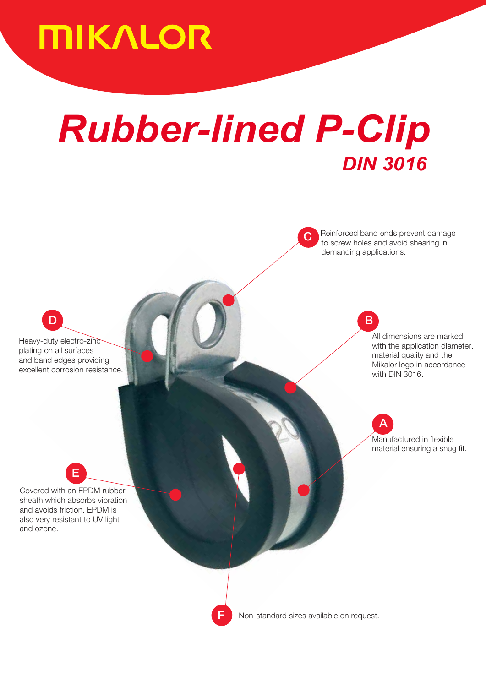# **MIKALOR**

# *Rubber-lined P-Clip DIN 3016*

Reinforced band ends prevent damage to screw holes and avoid shearing in demanding applications.

B

All dimensions are marked with the application diameter, material quality and the Mikalor logo in accordance with DIN 3016.

A Manufactured in flexible material ensuring a snug fit.

plating on all surfaces Heavy-duty electro-zinc and band edges providing excellent corrosion resistance.

 $\mathbf D$ 

Covered with an EPDM rubber sheath which absorbs vibration and avoids friction. EPDM is also very resistant to UV light and ozone.

E



Non-standard sizes available on request.

 $\overline{C}$